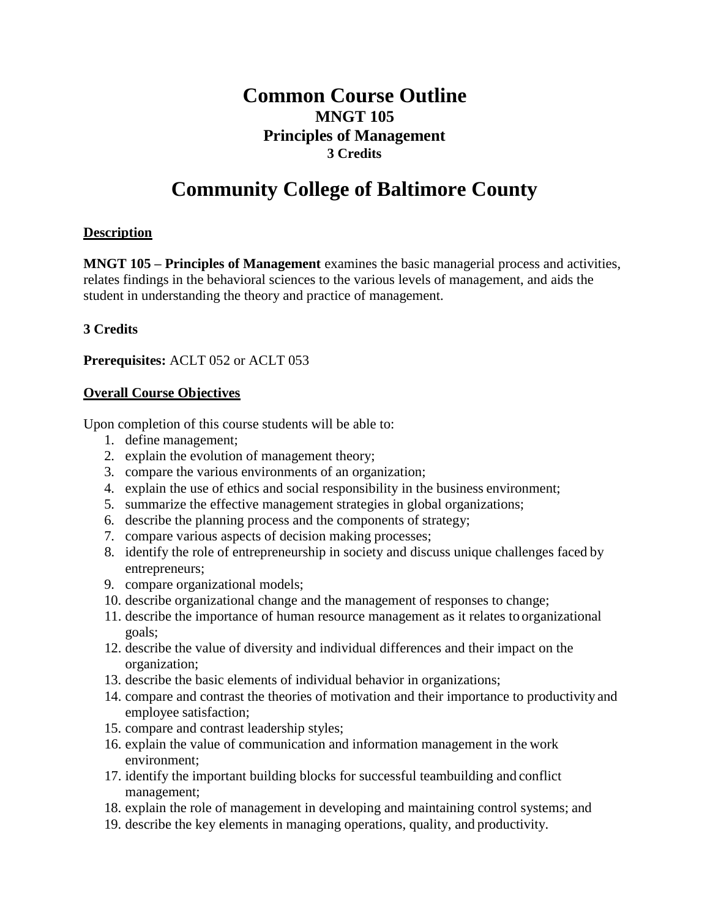# **Common Course Outline MNGT 105 Principles of Management 3 Credits**

# **Community College of Baltimore County**

### **Description**

**MNGT 105 – Principles of Management** examines the basic managerial process and activities, relates findings in the behavioral sciences to the various levels of management, and aids the student in understanding the theory and practice of management.

## **3 Credits**

**Prerequisites:** ACLT 052 or ACLT 053

## **Overall Course Objectives**

Upon completion of this course students will be able to:

- 1. define management;
- 2. explain the evolution of management theory;
- 3. compare the various environments of an organization;
- 4. explain the use of ethics and social responsibility in the business environment;
- 5. summarize the effective management strategies in global organizations;
- 6. describe the planning process and the components of strategy;
- 7. compare various aspects of decision making processes;
- 8. identify the role of entrepreneurship in society and discuss unique challenges faced by entrepreneurs;
- 9. compare organizational models;
- 10. describe organizational change and the management of responses to change;
- 11. describe the importance of human resource management as it relates to organizational goals;
- 12. describe the value of diversity and individual differences and their impact on the organization;
- 13. describe the basic elements of individual behavior in organizations;
- 14. compare and contrast the theories of motivation and their importance to productivity and employee satisfaction;
- 15. compare and contrast leadership styles;
- 16. explain the value of communication and information management in the work environment;
- 17. identify the important building blocks for successful teambuilding and conflict management;
- 18. explain the role of management in developing and maintaining control systems; and
- 19. describe the key elements in managing operations, quality, and productivity.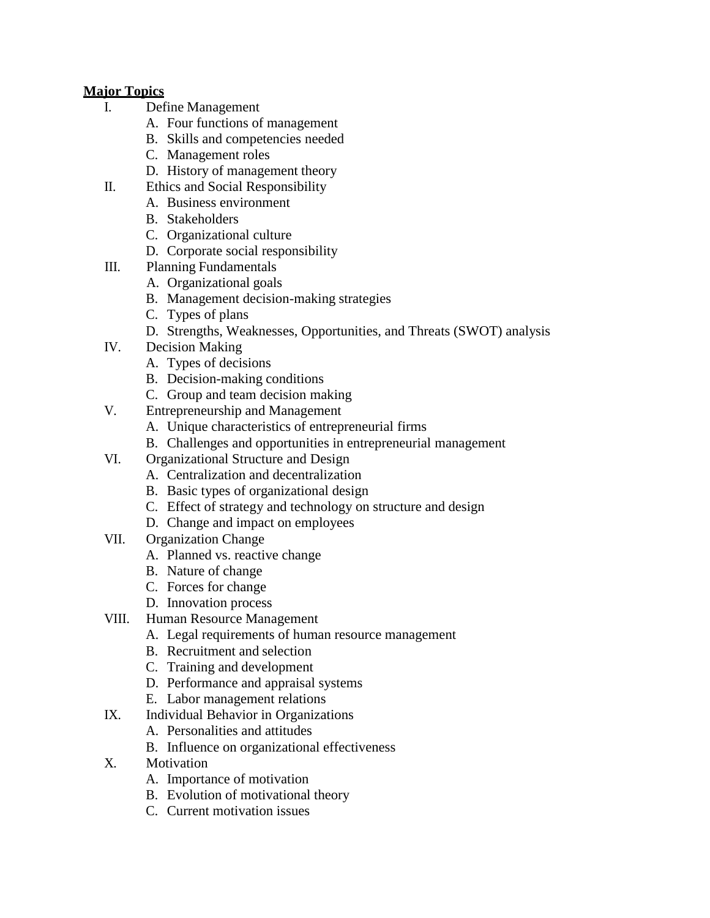## **Major Topics**

- I. Define Management
	- A. Four functions of management
	- B. Skills and competencies needed
	- C. Management roles
	- D. History of management theory
- II. Ethics and Social Responsibility
	- A. Business environment
		- B. Stakeholders
		- C. Organizational culture
		- D. Corporate social responsibility
- III. Planning Fundamentals
	- A. Organizational goals
	- B. Management decision-making strategies
	- C. Types of plans
	- D. Strengths, Weaknesses, Opportunities, and Threats (SWOT) analysis
- IV. Decision Making
	- A. Types of decisions
	- B. Decision-making conditions
	- C. Group and team decision making
- V. Entrepreneurship and Management
	- A. Unique characteristics of entrepreneurial firms
	- B. Challenges and opportunities in entrepreneurial management
- VI. Organizational Structure and Design
	- A. Centralization and decentralization
	- B. Basic types of organizational design
	- C. Effect of strategy and technology on structure and design
	- D. Change and impact on employees
- VII. Organization Change
	- A. Planned vs. reactive change
	- B. Nature of change
	- C. Forces for change
	- D. Innovation process
- VIII. Human Resource Management
	- A. Legal requirements of human resource management
	- B. Recruitment and selection
	- C. Training and development
	- D. Performance and appraisal systems
	- E. Labor management relations
- IX. Individual Behavior in Organizations
	- A. Personalities and attitudes
	- B. Influence on organizational effectiveness
- X. Motivation
	- A. Importance of motivation
	- B. Evolution of motivational theory
	- C. Current motivation issues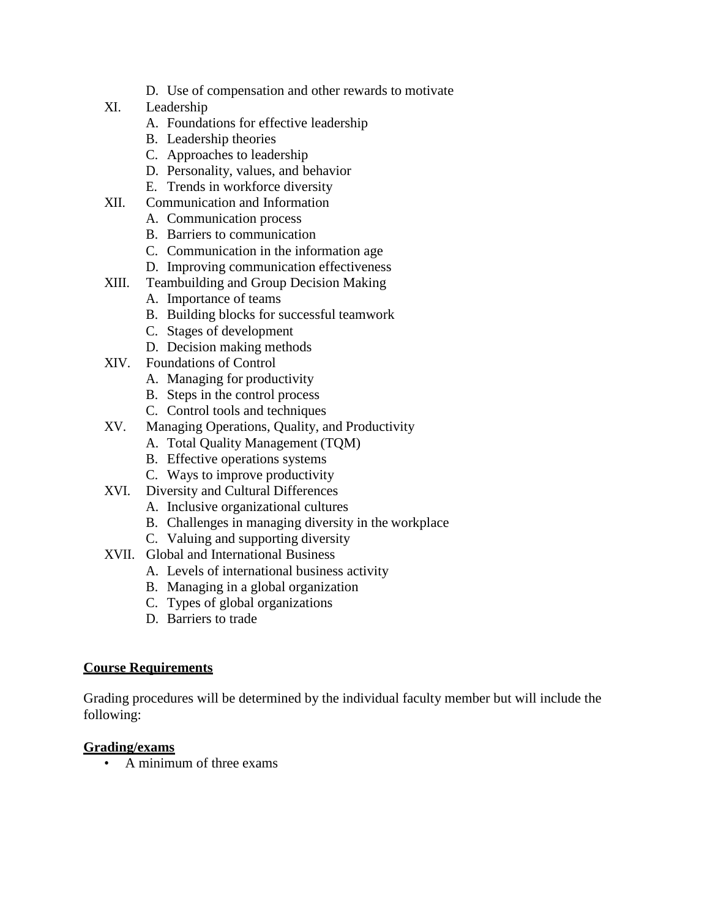- D. Use of compensation and other rewards to motivate
- XI. Leadership
	- A. Foundations for effective leadership
	- B. Leadership theories
	- C. Approaches to leadership
	- D. Personality, values, and behavior
	- E. Trends in workforce diversity
- XII. Communication and Information
	- A. Communication process
	- B. Barriers to communication
	- C. Communication in the information age
	- D. Improving communication effectiveness
- XIII. Teambuilding and Group Decision Making
	- A. Importance of teams
	- B. Building blocks for successful teamwork
	- C. Stages of development
	- D. Decision making methods
- XIV. Foundations of Control
	- A. Managing for productivity
	- B. Steps in the control process
	- C. Control tools and techniques
- XV. Managing Operations, Quality, and Productivity
	- A. Total Quality Management (TQM)
	- B. Effective operations systems
	- C. Ways to improve productivity
- XVI. Diversity and Cultural Differences
	- A. Inclusive organizational cultures
	- B. Challenges in managing diversity in the workplace
	- C. Valuing and supporting diversity
- XVII. Global and International Business
	- A. Levels of international business activity
	- B. Managing in a global organization
	- C. Types of global organizations
	- D. Barriers to trade

#### **Course Requirements**

Grading procedures will be determined by the individual faculty member but will include the following:

#### **Grading/exams**

• A minimum of three exams